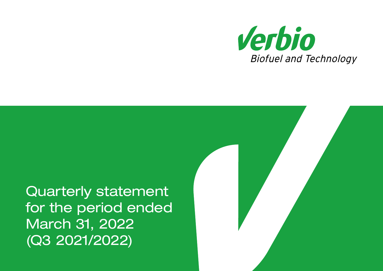

Quarterly statement for the period ended March 31, 2022 (Q3 2021/2022)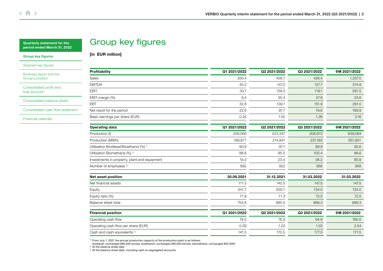<span id="page-1-0"></span>

| <b>Quarterly statement for the</b> |  |
|------------------------------------|--|
| period ended March 31, 2022        |  |

# Group key figures

[in EUR million]

#### Group key figures

[Segment key figures](#page-3-0)

[Business report and the](#page-5-0)  Group's position

[Consolidated profit and](#page-7-0)  loss account

[Consolidated balance sheet](#page-8-0)

[Consolidated cash flow statement](#page-10-0)

[Financial calendar](#page-12-0)

| <b>Profitability</b>                               | Q1 2021/2022 | Q2 2021/2022 | Q3 2021/2022 | 9M 2021/2022 |
|----------------------------------------------------|--------------|--------------|--------------|--------------|
| Sales                                              | 350.4        | 458.7        | 428.4        | 1,237.5      |
| <b>EBITDA</b>                                      | 40.2         | 147.0        | 127.7        | 314.9        |
| <b>EBIT</b>                                        | 33.1         | 139.3        | 119.1        | 291.5        |
| EBIT-margin (%)                                    | 9.4          | 30.4         | 27.8         | 23.6         |
| <b>EBT</b>                                         | 32.8         | 139.1        | 151.9        | 291.0        |
| Net result for the period                          | 22.6         | 97.7         | 79.6         | 199.9        |
| Basic earnings per share (EUR)                     | 0.35         | 1.55         | 1.26         | 3.16         |
| <b>Operating data</b>                              | Q1 2021/2022 | Q2 2021/2022 | Q3 2021/2022 | 9M 2021/2022 |
| Production (t)                                     | 209,066      | 223,347      | 206,672      | 639,084      |
| Production (MWh)                                   | 199,877      | 214,841      | 237,183      | 651,901      |
| Utilisation Biodiesel/Bioethanol (%) <sup>1)</sup> | 90.9         | 97.1         | 89.9         | 92.6         |
| Utilisation Biomethane (%) <sup>1)</sup>           | 88.8         | 95.5         | 105.4        | 96.6         |
| Investments in property, plant and equipment       | 19.3         | 23.4         | 38.2         | 80.9         |
| Number of employees <sup>2)</sup>                  | 892          | 922          | 958          | 958          |
| Net asset position                                 | 30.09.2021   | 31.12.2021   | 31.03.2022   | 31.03.2022   |
| Net financial assets                               | 111.5        | 140.5        | 147.5        | 147.5        |
| Equity                                             | 541.7        | 635.1        | 724.0        | 724.0        |
| Equity ratio (%)                                   | 71.8         | 71.3         | 72.5         | 72.5         |
| Balance sheet total                                | 754.8        | 890.5        | 999.3        | 999.3        |
| <b>Financial position</b>                          | Q1 2021/2022 | Q2 2021/2022 | Q3 2021/2022 | 9M 2021/2022 |
| Operating cash flow                                | 18.5         | 76.9         | 64.6         | 160.0        |
| Operating cash flow per share (EUR)                | 0.29         | 1.22         | 1.03         | 2.54         |
| Cash and cash equivalents <sup>3)</sup>            | 141.5        | 170.5        | 177.5        | 177.5        |

1) From July 1, 2021 the annual production capacity of the production plant is as follows: biodiesel: unchanged 660,000 tonnes; bioethanol: unchanged 260,000 tonnes; biomethane: unchanged 900 GWh

<sup>2)</sup> At the balance sheet date

<sup>3)</sup> At the balance sheet date, including cash on segregated accounts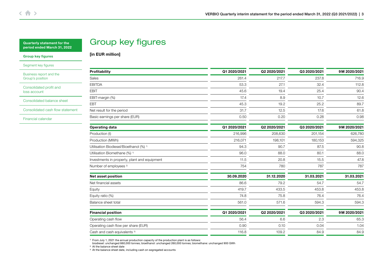| <b>Quarterly statement for the</b> |  |
|------------------------------------|--|
| period ended March 31, 2022        |  |

# Group key figures

[in EUR million]

#### [Group key figures](#page-1-0)

[Segment key figures](#page-3-0)

[Business report and the](#page-5-0)  Group's position

[Consolidated profit and](#page-7-0)  loss account

[Consolidated balance sheet](#page-8-0)

[Consolidated cash flow statement](#page-10-0)

[Financial calendar](#page-12-0)

| Profitability                                      | Q1 2020/2021 | Q2 2020/2021 | Q3 2020/2021 | 9M 2020/2021 |
|----------------------------------------------------|--------------|--------------|--------------|--------------|
| Sales                                              | 261.4        | 217.7        | 237.8        | 716.9        |
| <b>EBITDA</b>                                      | 53.3         | 27.1         | 32.4         | 112.8        |
| <b>EBIT</b>                                        | 45.6         | 19.4         | 25.4         | 90.4         |
| EBIT-margin (%)                                    | 17.4         | 8.9          | 10.7         | 12.6         |
| <b>EBT</b>                                         | 45.3         | 19.2         | 25.2         | 89.7         |
| Net result for the period                          | 31.7         | 12.5         | 17.6         | 61.8         |
| Basic earnings per share (EUR)                     | 0.50         | 0.20         | 0.28         | 0.98         |
| <b>Operating data</b>                              | Q1 2020/2021 | Q2 2020/2021 | Q3 2020/2021 | 9M 2020/2021 |
| Production (t)                                     | 216,996      | 208,630      | 201,154      | 626,780      |
| Production (MWh)                                   | 216,071      | 198,101      | 180,153      | 594,325      |
| Utilisation Biodiesel/Bioethanol (%) <sup>1)</sup> | 94.3         | 90.7         | 87.5         | 90.8         |
| Utilisation Biomethane (%) <sup>1)</sup>           | 96.0         | 88.0         | 80.1         | 88.0         |
| Investments in property, plant and equipment       | 11.5         | 20.8         | 15.5         | 47.8         |
| Number of employees <sup>2)</sup>                  | 754          | 780          | 787          | 787          |
| Net asset position                                 | 30.09.2020   | 31.12.2020   | 31.03.2021   | 31.03.2021   |
| Net financial assets                               | 86.6         | 79.2         | 54.7         | 54.7         |
| Equity                                             | 419.7        | 433.5        | 453.8        | 453.8        |
| Equity ratio (%)                                   | 74.8         | 75.8         | 76.4         | 76.4         |
| Balance sheet total                                | 561.0        | 571.6        | 594.3        | 594.3        |
| <b>Financial position</b>                          | Q1 2020/2021 | Q2 2020/2021 | Q3 2020/2021 | 9M 2020/2021 |
| Operating cash flow                                | 56.4         | 6.6          | 2.3          | 65.3         |
| Operating cash flow per share (EUR)                | 0.90         | 0.10         | 0.04         | 1.04         |
| Cash and cash equivalents <sup>3)</sup>            | 116.8        | 109.2        | 84.9         | 84.9         |

1) From July 1, 2021 the annual production capacity of the production plant is as follows: biodiesel: unchanged 660,000 tonnes; bioethanol: unchanged 260,000 tonnes; biomethane: unchanged 900 GWh

<sup>2)</sup> At the balance sheet date

3) At the balance sheet date, including cash on segregated accounts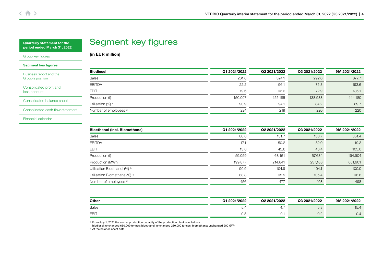# Segment key figures

[in EUR million]

<span id="page-3-0"></span>[Group key figures](#page-1-0)

#### Segment key figures

[Business report and the](#page-5-0)  Group's position

[Consolidated profit and](#page-7-0)  loss account

[Consolidated balance sheet](#page-8-0)

[Consolidated cash flow statement](#page-10-0)

[Financial calendar](#page-12-0)

| <b>Biodiesel</b>                  | Q1 2021/2022 | Q2 2021/2022 | Q3 2021/2022 | 9M 2021/2022 |
|-----------------------------------|--------------|--------------|--------------|--------------|
| Sales                             | 261.6        | 324.1        | 292.0        | 877.7        |
| <b>EBITDA</b>                     | 22.2         | 96.1         | 75.3         | 193.6        |
| <b>EBIT</b>                       | 19.6         | 93.6         | 72.9         | 186.1        |
| Production (t)                    | 150,007      | 155,185      | 138,988      | 444,180      |
| Utilisation (%) <sup>1)</sup>     | 90.9         | 94.1         | 84.2         | 89.7         |
| Number of employees <sup>2)</sup> | 224          | 219          | 220          | 220          |

| <b>Bioethanol (incl. Biomethane)</b>     | Q1 2021/2022 | Q2 2021/2022 | Q3 2021/2022 | 9M 2021/2022 |
|------------------------------------------|--------------|--------------|--------------|--------------|
| Sales                                    | 86.0         | 131.7        | 133.7        | 351.4        |
| <b>EBITDA</b>                            | 17.1         | 50.2         | 52.0         | 119.3        |
| <b>EBIT</b>                              | 13.0         | 45.6         | 46.4         | 105.0        |
| Production (t)                           | 59,059       | 68,161       | 67,684       | 194,904      |
| Production (MWh)                         | 199,877      | 214,841      | 237,183      | 651,901      |
| Utilisation Bioethanol (%) <sup>1)</sup> | 90.9         | 104.9        | 104.1        | 100.0        |
| Utilisation Biomethane (%) <sup>1)</sup> | 88.8         | 95.5         | 105.4        | 96.6         |
| Number of employees <sup>2)</sup>        | 456          | 477          | 498          | 498          |

| Other        | Q1 2021/2022 | Q2 2021/2022 | Q3 2021/2022            | 2021/2022<br>9 M |
|--------------|--------------|--------------|-------------------------|------------------|
| <b>Sales</b> | ◡-           | 4.1          | $-$ 0.<br>∪.∪           | 15.4             |
| <b>EBIT</b>  | U.O          | v.           | -<br>$\cup$ . $\subset$ | 0.4              |

1) From July 1, 2021 the annual production capacity of the production plant is as follows: biodiesel: unchanged 660,000 tonnes; bioethanol: unchanged 260,000 tonnes; biomethane: unchanged 900 GWh

<sup>2)</sup> At the balance sheet date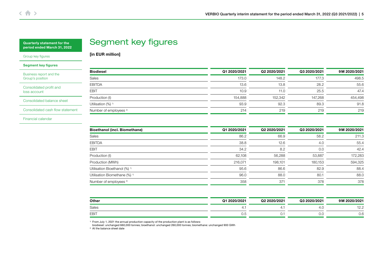# Segment key figures

[in EUR million]

[Group key figures](#page-1-0)

#### [Segment key figures](#page-3-0)

[Business report and the](#page-5-0)  Group's position

[Consolidated profit and](#page-7-0)  loss account

[Consolidated balance sheet](#page-8-0)

[Consolidated cash flow statement](#page-10-0)

[Financial calendar](#page-12-0)

| <b>Biodiesel</b>                  | Q1 2020/2021 | Q2 2020/2021 | Q3 2020/2021 | 9M 2020/2021 |
|-----------------------------------|--------------|--------------|--------------|--------------|
| Sales                             | 173.0        | 148.2        | 177.3        | 498.5        |
| <b>EBITDA</b>                     | 13.6         | 13.8         | 28.2         | 55.6         |
| <b>EBIT</b>                       | 10.9         | 11.0         | 25.5         | 47.4         |
| Production (t)                    | 154,888      | 152,342      | 147.268      | 454,498      |
| Utilisation (%) <sup>1)</sup>     | 93.9         | 92.3         | 89.3         | 91.8         |
| Number of employees <sup>2)</sup> | 214          | 219          | 219          | 219          |

| <b>Bioethanol (incl. Biomethane)</b>     | Q1 2020/2021 | Q2 2020/2021 | Q3 2020/2021 | 9M 2020/2021 |
|------------------------------------------|--------------|--------------|--------------|--------------|
| Sales                                    | 86.2         | 66.9         | 58.2         | 211.3        |
| <b>EBITDA</b>                            | 38.8         | 12.6         | 4.0          | 55.4         |
| <b>EBIT</b>                              | 34.2         | 8.2          | 0.0          | 42.4         |
| Production (t)                           | 62,108       | 56,288       | 53,887       | 172,283      |
| Production (MWh)                         | 216,071      | 198,101      | 180,153      | 594,325      |
| Utilisation Bioethanol (%) <sup>1)</sup> | 95.6         | 86.6         | 82.9         | 88.4         |
| Utilisation Biomethane (%) <sup>1)</sup> | 96.0         | 88.0         | 80.1         | 88.0         |
| Number of employees <sup>2)</sup>        | 358          | 371          | 378          | 378          |

| Other        | 2020/2021<br>Q1 | Q2 2020/2021 | Q3 2020/2021 | 2020/2021<br>9M                   |
|--------------|-----------------|--------------|--------------|-----------------------------------|
| <b>Sales</b> | 4.1             | 4.           | 4.U          | $\overline{\phantom{a}}$<br>ے ۔ ا |
| <b>EBIT</b>  | U.O             | v.           | U.C          | U.C                               |

1) From July 1, 2021 the annual production capacity of the production plant is as follows: biodiesel: unchanged 660,000 tonnes; bioethanol: unchanged 260,000 tonnes; biomethane: unchanged 900 GWh

2) At the balance sheet date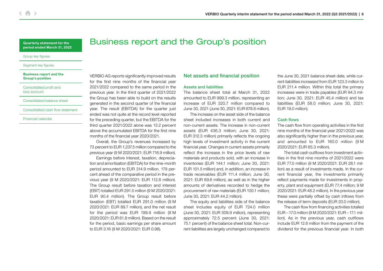#### <span id="page-5-0"></span>[Group key figures](#page-1-0)

#### [Segment key figures](#page-3-0)

#### Business report and the Group's position

#### [Consolidated profit and](#page-7-0)  loss account

#### [Consolidated balance sheet](#page-8-0)

#### [Consolidated cash flow statement](#page-10-0)

### [Financial calendar](#page-12-0)

VERBIO AG reports significantly improved results for the first nine months of the financial year 2021/2022 compared to the same period in the previous year. In the third quarter of 2021/2022 the Group has been able to build on the results generated in the second quarter of the financial year. The result (EBITDA) for the quarter just ended was not quite at the record level reported for the preceding quarter, but the EBITDA for the third quarter 2021/2022 alone was 13.2 percent above the accumulated EBITDA for the first nine months of the financial year 2020/2021.

Overall, the Group's revenues increased by 73 percent to EUR 1,237.5 million compared to the previous year (9 M 2020/2021: EUR 716.9 million).

Earnings before interest, taxation, depreciation and amortisation (EBITDA) for the nine-month period amounted to EUR 314.9 million, 179 percent ahead of the comparative period in the previous year (9 M 2020/2021: EUR 112.8 million). The Group result before taxation and interest (EBIT) totalled EUR 291.5 million (9 M 2020/2021: EUR 90.4 million). The Group result before taxation (EBT) totalled EUR 291.0 million (9 M 2020/2021: EUR 89.7 million), and the net result for the period was EUR 199.9 million (9 M 2020/2021: EUR 61.8 million). Based on the result for the period, basic earnings per share amount to EUR 3.16 (9 M 2020/2021: EUR 0.98).

## Net assets and financial position

#### Assets and liabilities

Business report and the Group's position

The balance sheet total at March 31, 2022 amounted to EUR 999.3 million, representing an increase of EUR 320.7 million compared to June 30, 2021 (June 30, 2021: EUR 678.6 million).

The increase on the asset side of the balance sheet included increases in both current and non-current assets. The increase in non-current assets (EUR 436.3 million; June 30, 2021: EUR 312.3 million) primarily reflects the ongoing high levels of investment activity in the current financial year. Changes in current assets primarily reflect the increase in the price levels of raw materials and products sold, with an increase in inventories (EUR 144.1 million; June 30, 2021: EUR 101.5 million) and, in addition, an increase in trade receivables (EUR 111.4 million; June 30, 2021: EUR 69.6 million), as well as in the higher amounts of derivatives recorded to hedge the procurement of raw materials (EUR 100.1 million; June 30, 2021: EUR 44.2 million).

The equity and liabilities side of the balance sheet includes equity of EUR 724.0 million (June 30, 2021: EUR 509.9 million), representing approximately 72.5 percent (June 30, 2021: 75.1 percent) of the balance sheet total. Non-current liabilities are largely unchanged compared to

the June 30, 2021 balance sheet date, while current liabilities increased from EUR 123.3 million to EUR 211.4 million. Within this total the primary increases were in trade payables (EUR 94.3 million; June 30, 2021: EUR 45.4 million) and tax liabilities (EUR 58.0 million; June 30, 2021: EUR 19.0 million).

#### Cash flows

The cash flow from operating activities in the first nine months of the financial year 2021/2022 was also significantly higher than in the previous year. and amounted to EUR 160.0 million (9 M 2020/2021: EUR 65.3 million).

The total cash outflows from investment activities in the first nine months of 2021/2022 were EUR 77.0 million (9 M 2020/2021: EUR 28.1 million) as a result of investments made. In the current financial year, the investments primarily reflect payments made for investments in property, plant and equipment (EUR 77.4 million; 9 M 2020/2021: EUR 48.2 million). In the previous year these were partially offset by cash inflows from the release of term deposits (EUR 20.0 million).

The cash flow from financing activities totalled EUR –17.0 million (9 M 2020/2021: EUR –17.1 million). As in the previous year, cash outflows include EUR 12.6 million from the payment of the dividend for the previous financial year. In both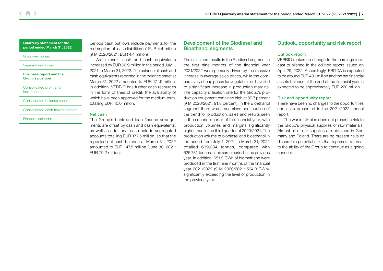#### [Group key figures](#page-1-0)

#### [Segment key figures](#page-3-0)

#### [Business report and the](#page-5-0)  Group's position

[Consolidated profit and](#page-7-0)  loss account

[Consolidated balance sheet](#page-8-0)

[Consolidated cash flow statement](#page-10-0)

[Financial calendar](#page-12-0)

periods cash outflows include payments for the redemption of lease liabilities of EUR 4.4 million (9 M 2020/2021: EUR 4.4 million).

As a result, cash and cash equivalents increased by EUR 66.9 million in the period July 1, 2021 to March 31, 2022. The balance of cash and cash equivalents reported in the balance sheet at March 31, 2022 amounted to EUR 171.9 million. In addition, VERBIO has further cash resources in the form of lines of credit, the availability of which have been approved for the medium term, totalling EUR 40.0 million.

### Net cash

The Group's bank and loan finance arrangements are offset by cash and cash equivalents, as well as additional cash held in segregated accounts totalling EUR 177.5 million, so that the reported net cash balance at March 31, 2022 amounted to EUR 147.5 million (June 30, 2021: EUR 79.2 million).

## Development of the Biodiesel and Bioethanol segments

The sales and results in the Biodiesel segment in the first nine months of the financial year 2021/2022 were primarily driven by the massive increase in average sales prices, while the comparatively cheap prices for vegetable oils have led to a significant increase in production margins. The capacity utilisation rate for the Group's production equipment remained high at 89.7 percent (9 M 2020/2021: 91.8 percent). In the Bioethanol segment there was a seamless continuation of the trend for production, sales and results seen in the second quarter of the financial year, with production volumes and margins significantly higher than in the third quarter of 2020/2021. The production volume of biodiesel and bioethanol in the period from July 1, 2021 to March 31, 2022 totalled 639,084 tonnes, compared with 626,781 tonnes in the same period in the previous year. In addition, 651.9 GWh of biomethane were produced in the first nine months of the financial year 2021/2022 (9 M 2020/2021: 594.3 GWh), significantly exceeding the level of production in the previous year.

## Outlook, opportunity and risk report

## Outlook report

VERBIO makes no change to the earnings forecast published in the ad hoc report issued on April 29, 2022. Accordingly, EBITDA is expected to be around EUR 430 million and the net financial assets balance at the end of the financial year is expected to be approximately EUR 220 million.

## Risk and opportunity report

There have been no changes to the opportunities and risks presented in the 2021/2022 annual report.

The war in Ukraine does not present a risk to the Group's physical supplies of raw materials. Almost all of our supplies are obtained in Germany and Poland. There are no present risks or discernible potential risks that represent a threat to the ability of the Group to continue as a going concern.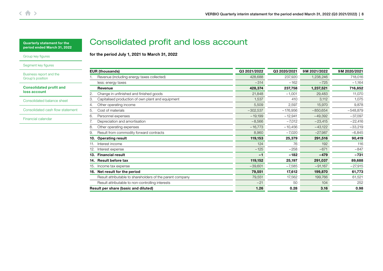for the period July 1, 2021 to March 31, 2022

Consolidated profit and loss account

## <span id="page-7-0"></span>[Group key figures](#page-1-0)

[Segment key figures](#page-3-0)

[Business report and the](#page-5-0)  Group's position

Consolidated profit and loss account

[Consolidated balance sheet](#page-8-0)

[Consolidated cash flow statement](#page-10-0)

[Financial calendar](#page-12-0)

|     | <b>EUR (thousands)</b>                                    | Q3 2021/2022 | Q3 2020/2021 | 9M 2021/2022 | 9M 2020/2021 |
|-----|-----------------------------------------------------------|--------------|--------------|--------------|--------------|
|     | Revenue (including energy taxes collected)                | 428,688      | 237,920      | 1,238,246    | 718,016      |
|     | less: energy taxes                                        | $-314$       | $-162$       | $-725$       | $-1,164$     |
|     | Revenue                                                   | 428,374      | 237,758      | 1,237,521    | 716,852      |
| 2.  | Change in unfinished and finished goods                   | 21,848       | $-1,001$     | 29,483       | 11,070       |
| 3.  | Capitalised production of own plant and equipment         | 1,537        | 410          | 3,112        | 1,075        |
| 4.  | Other operating income                                    | 5,509        | 2,597        | 15,970       | 9,878        |
| 5.  | Cost of materials                                         | $-302,537$   | $-176,956$   | $-850,654$   | $-548,879$   |
| 6.  | Personnel expenses                                        | $-19,199$    | $-12,941$    | $-49,392$    | $-37,097$    |
|     | Depreciation and amortisation                             | $-8,566$     | $-7,012$     | $-23,415$    | $-22,416$    |
| 8.  | Other operating expenses                                  | $-16,773$    | $-10,456$    | $-43,122$    | $-33,219$    |
| 9.  | Result from commodity forward contracts                   | 8,960        | $-7,020$     | $-27,987$    | $-6,845$     |
|     | 10. Operating result                                      | 119,153      | 25,379       | 291,516      | 90,419       |
| 11. | Interest income                                           | 124          | 76           | 192          | 116          |
| 12. | Interest expense                                          | $-125$       | $-258$       | $-671$       | $-847$       |
|     | 13. Financial result                                      | $-1$         | $-182$       | $-479$       | $-731$       |
|     | 14. Result before tax                                     | 119,152      | 25,197       | 291,037      | 89,688       |
|     | 15. Income tax expense                                    | $-39,601$    | $-7,585$     | $-91,167$    | $-27,915$    |
|     | 16. Net result for the period                             | 79,551       | 17,612       | 199,870      | 61,773       |
|     | Result attributable to shareholders of the parent company | 79,551       | 17,562       | 199,766      | 61,521       |
|     | Result attributable to non-controlling interests          | $-21$        | 50           | 104          | 252          |
|     | Result per share (basic and diluted)                      | 1.26         | 0.28         | 3.16         | 0.98         |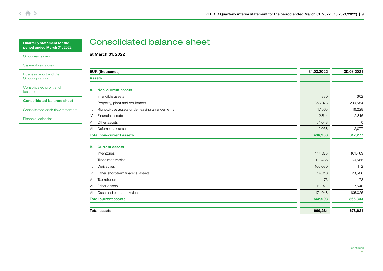<span id="page-8-0"></span>

| <b>Quarterly statement for the</b> |
|------------------------------------|
| period ended March 31, 2022        |

[Group key figures](#page-1-0)

[Segment key figures](#page-3-0)

[Business report and the](#page-5-0)  Group's position

[Consolidated profit and](#page-7-0)  loss account

Consolidated balance sheet

[Consolidated cash flow statement](#page-10-0)

[Financial calendar](#page-12-0)

## Consolidated balance sheet

at March 31, 2022

| <b>EUR (thousands)</b>                               |         | 30.06.2021 |
|------------------------------------------------------|---------|------------|
| <b>Assets</b>                                        |         |            |
|                                                      |         |            |
| <b>Non-current assets</b><br>А.                      |         |            |
| Intangible assets<br>I.                              | 830     | 602        |
| Property, plant and equipment<br>ΙΙ.                 | 358,973 | 290,554    |
| Right-of-use assets under leasing arrangements<br>Ш. | 17,565  | 16,228     |
| Financial assets<br>IV.                              | 2,814   | 2,816      |
| Other assets<br>V.                                   | 54,048  | $\circ$    |
| Deferred tax assets<br>VI.                           | 2,058   | 2,077      |
| <b>Total non-current assets</b>                      | 436,288 | 312,277    |
| <b>Current assets</b><br>В.                          |         |            |
| Inventories                                          | 144,075 | 101,463    |
| Trade receivables<br>II.                             | 111,436 | 69,565     |
| Derivatives<br>III.                                  | 100,080 | 44,172     |
| Other short-term financial assets<br>IV.             | 14,010  | 28,506     |
| Tax refunds<br>V.                                    | 73      | 73         |
| Other assets<br>VI.                                  | 21,371  | 17,540     |
| VII. Cash and cash equivalents                       | 171,948 | 105,025    |
| <b>Total current assets</b>                          | 562,993 | 366,344    |
| <b>Total assets</b>                                  | 999,281 | 678,621    |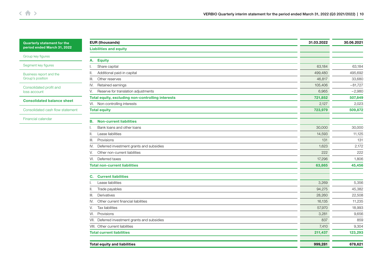[Group key figures](#page-1-0)

[Segment key figures](#page-3-0)

[Business report and the](#page-5-0)  Group's position

[Consolidated profit and](#page-7-0)  loss account

[Consolidated balance sheet](#page-8-0)

[Consolidated cash flow statement](#page-10-0)

[Financial calendar](#page-12-0)

| <b>EUR (thousands)</b>                            | 31.03.2022 | 30.06.2021 |
|---------------------------------------------------|------------|------------|
| <b>Liabilities and equity</b>                     |            |            |
| <b>Equity</b><br>А.                               |            |            |
| Share capital                                     | 63,184     | 63,184     |
| Additional paid-in capital<br>Ш.                  | 499,480    | 495,692    |
| Other reserves<br>Ш.                              | 46,817     | 33,680     |
| Retained earnings<br>IV.                          | 105,406    | $-81,727$  |
| Reserve for translation adjustments<br>V.         | 6,965      | $-2,980$   |
| Total equity, excluding non-controlling interests | 721,852    | 507,849    |
| VI. Non-controlling interests                     | 2,127      | 2,023      |
| <b>Total equity</b>                               | 723,979    | 509,872    |
| <b>Non-current liabilities</b><br>В.              |            |            |
| Bank loans and other loans                        | 30,000     | 30,000     |
| Lease liabilities<br>H.                           | 14,593     | 11,125     |
| Provisions<br>III.                                | 131        | 131        |
| Deferred investment grants and subsidies<br>IV.   | 1,623      | 2,172      |
| Other non-current liabilities<br>V.               | 222        | 222        |
| Deferred taxes<br>VI.                             | 17,296     | 1,806      |
| <b>Total non-current liabilities</b>              | 63,865     | 45,456     |
| <b>Current liabilities</b><br>C.                  |            |            |
| Lease liabilities                                 | 3,269      | 5,356      |
| Trade payables                                    | 94,275     | 45,382     |
| Derivatives<br>III.                               | 28,260     | 22,508     |
| Other current financial liabilities<br>IV.        | 16,135     | 11,235     |
| <b>Tax liabilities</b><br>V.                      | 57,970     | 18,993     |
| Provisions<br>VI.                                 | 3,281      | 9,656      |
| Deferred investment grants and subsidies<br>VII.  | 837        | 859        |
| VIII. Other current liabilities                   | 7,410      | 9,304      |
| <b>Total current liabilities</b>                  | 211,437    | 123,293    |
| <b>Total equity and liabilities</b>               | 999,281    | 678,621    |
|                                                   |            |            |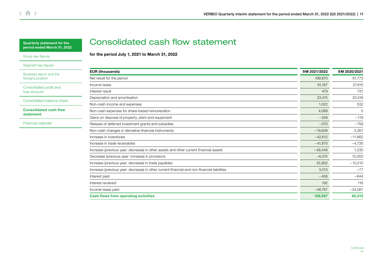<span id="page-10-0"></span>[Group key figures](#page-1-0)

[Segment key figures](#page-3-0)

[Business report and the](#page-5-0)  Group's position

[Consolidated profit and](#page-7-0)  loss account

[Consolidated balance sheet](#page-8-0)

Consolidated cash flow statement

[Financial calendar](#page-12-0)

# Consolidated cash flow statement

for the period July 1, 2021 to March 31, 2022

| <b>EUR (thousands)</b>                                                                      |           | 9M 2020/2021 |
|---------------------------------------------------------------------------------------------|-----------|--------------|
| Net result for the period                                                                   | 199,870   | 61,773       |
| Income taxes                                                                                | 91,167    | 27,915       |
| Interest result                                                                             | 479       | 731          |
| Depreciation and amortisation                                                               | 23,415    | 22,416       |
| Non-cash income and expenses                                                                | 1,022     | 532          |
| Non-cash expenses for share-based remuneration                                              | 4,089     | $\Omega$     |
| Gains on disposal of property, plant and equipment                                          | $-258$    | $-119$       |
| Release of deferred investment grants and subsidies                                         | $-570$    | $-759$       |
| Non-cash changes in derivative financial instruments                                        | $-19,839$ | 3,261        |
| Increase in inventories                                                                     | $-42,612$ | $-11,862$    |
| Increase in trade receivables                                                               | $-41,870$ | $-4,730$     |
| Increase (previous year: decrease) in other assets and other current financial assets       | $-48,446$ | 1,230        |
| Decrease (previous year: increase) in provisions                                            | $-6,374$  | 10,300       |
| Increase (previous year: decrease) in trade payables                                        | 45,902    | $-10,210$    |
| Increase (previous year: decrease) in other current financial and non-financial liabilities | 3,013     | $-77$        |
| Interest paid                                                                               | $-456$    | $-644$       |
| Interest received                                                                           | 192       | 116          |
| Income taxes paid                                                                           | $-48,767$ | $-34,561$    |
| <b>Cash flows from operating activities</b>                                                 | 159,957   | 65,312       |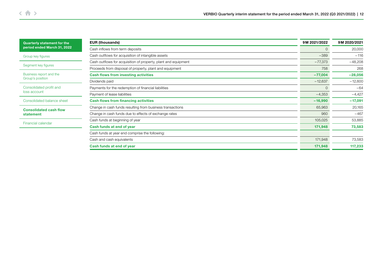| <b>Quarterly statement for the</b>         | <b>EUR (thousands)</b>                                         | 9M 2021/2022 | 9M 2020/2021 |  |
|--------------------------------------------|----------------------------------------------------------------|--------------|--------------|--|
| period ended March 31, 2022                | Cash inflows from term deposits                                |              | 20,000       |  |
| Group key figures                          | Cash outflows for acquisition of intangible assets             | $-389$       | $-116$       |  |
|                                            | Cash outflows for acquisition of property, plant and equipment | $-77,373$    | $-48,208$    |  |
| Segment key figures                        | Proceeds from disposal of property, plant and equipment        | 758          | 268          |  |
| Business report and the                    | <b>Cash flows from investing activities</b>                    | $-77,004$    | $-28,056$    |  |
| Group's position                           | Dividends paid                                                 | $-12,637$    | $-12,600$    |  |
| Consolidated profit and<br>loss account    | Payments for the redemption of financial liabilities           | $\Omega$     | $-64$        |  |
|                                            | Payment of lease liabilities                                   | $-4,353$     | $-4,427$     |  |
| Consolidated balance sheet                 | <b>Cash flows from financing activities</b>                    | $-16,990$    | $-17,091$    |  |
| <b>Consolidated cash flow</b><br>statement | Change in cash funds resulting from business transactions      | 65,963       | 20,165       |  |
|                                            | Change in cash funds due to effects of exchange rates          | 960          | $-467$       |  |
| Financial calendar                         | Cash funds at beginning of year                                | 105,025      | 53,885       |  |
|                                            | Cash funds at end of year                                      | 171,948      | 73,583       |  |
|                                            | Cash funds at year end comprise the following:                 |              |              |  |
|                                            | Cash and cash equivalents                                      | 171,948      | 73,583       |  |
|                                            | Cash funds at end of year                                      | 171,948      | 117,233      |  |